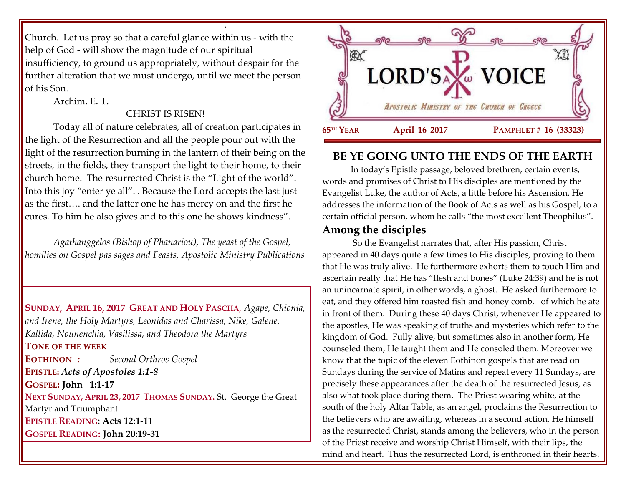Church. Let us pray so that a careful glance within us - with the help of God - will show the magnitude of our spiritual insufficiency, to ground us appropriately, without despair for the further alteration that we must undergo, until we meet the person of his Son.

.

Archim. E. T.

### CHRIST IS RISEN!

Today all of nature celebrates, all of creation participates in the light of the Resurrection and all the people pour out with the light of the resurrection burning in the lantern of their being on the streets, in the fields, they transport the light to their home, to their church home. The resurrected Christ is the "Light of the world". Into this joy "enter ye all". . Because the Lord accepts the last just as the first…. and the latter one he has mercy on and the first he cures. To him he also gives and to this one he shows kindness".

*Agathanggelos (Bishop of Phanariou), The yeast of the Gospel, homilies on Gospel pas sages and Feasts, Apostolic Ministry Publications*

**SUNDAY, APRIL 16, 2017 GREAT AND HOLY PASCHA**, *Agape, Chionia, and Irene, the Holy Martyrs, Leonidas and Charissa, Nike, Galene, Kallida, Nounenchia, Vasilissa, and Theodora the Martyrs* **TONE OF THE WEEK EOTHINON** *: Second Orthros Gospel* **EPISTLE:** *Acts of Apostoles 1:1-8* **GOSPEL: John 1:1-17 NEXT SUNDAY, APRIL 23, 2017 THOMAS SUNDAY.** St. George the Great Martyr and Triumphant **EPISTLE READING: Acts 12:1-11 GOSPEL READING: John 20:19-31**



# **BE YE GOING UNTO THE ENDS OF THE EARTH**

In today's Epistle passage, beloved brethren, certain events, words and promises of Christ to His disciples are mentioned by the Evangelist Luke, the author of Acts, a little before his Ascension. He addresses the information of the Book of Acts as well as his Gospel, to a certain official person, whom he calls "the most excellent Theophilus".

## **Among the disciples**

So the Evangelist narrates that, after His passion, Christ appeared in 40 days quite a few times to His disciples, proving to them that He was truly alive. He furthermore exhorts them to touch Him and ascertain really that He has "flesh and bones" (Luke 24:39) and he is not an unincarnate spirit, in other words, a ghost. He asked furthermore to eat, and they offered him roasted fish and honey comb, of which he ate in front of them. During these 40 days Christ, whenever He appeared to the apostles, He was speaking of truths and mysteries which refer to the kingdom of God. Fully alive, but sometimes also in another form, He counseled them, He taught them and He consoled them. Moreover we know that the topic of the eleven Eothinon gospels that are read on Sundays during the service of Matins and repeat every 11 Sundays, are precisely these appearances after the death of the resurrected Jesus, as also what took place during them. The Priest wearing white, at the south of the holy Altar Table, as an angel, proclaims the Resurrection to the believers who are awaiting, whereas in a second action, He himself as the resurrected Christ, stands among the believers, who in the person of the Priest receive and worship Christ Himself, with their lips, the mind and heart. Thus the resurrected Lord, is enthroned in their hearts.